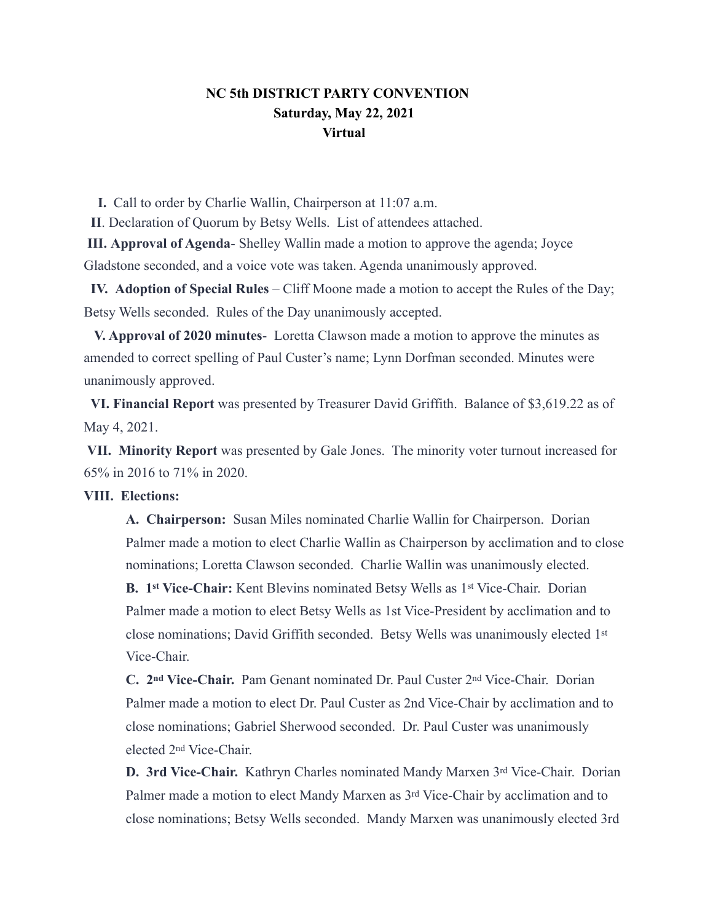## **NC 5th DISTRICT PARTY CONVENTION Saturday, May 22, 2021 Virtual**

 **I.** Call to order by Charlie Wallin, Chairperson at 11:07 a.m.

 **II**. Declaration of Quorum by Betsy Wells. List of attendees attached.

 **III. Approval of Agenda**- Shelley Wallin made a motion to approve the agenda; Joyce Gladstone seconded, and a voice vote was taken. Agenda unanimously approved.

 **IV. Adoption of Special Rules** – Cliff Moone made a motion to accept the Rules of the Day; Betsy Wells seconded. Rules of the Day unanimously accepted.

 **V. Approval of 2020 minutes**- Loretta Clawson made a motion to approve the minutes as amended to correct spelling of Paul Custer's name; Lynn Dorfman seconded. Minutes were unanimously approved.

 **VI. Financial Report** was presented by Treasurer David Griffith. Balance of \$3,619.22 as of May 4, 2021.

 **VII. Minority Report** was presented by Gale Jones. The minority voter turnout increased for 65% in 2016 to 71% in 2020.

#### **VIII. Elections:**

**A. Chairperson:** Susan Miles nominated Charlie Wallin for Chairperson. Dorian Palmer made a motion to elect Charlie Wallin as Chairperson by acclimation and to close nominations; Loretta Clawson seconded. Charlie Wallin was unanimously elected.

**B. 1st Vice-Chair:** Kent Blevins nominated Betsy Wells as 1st Vice-Chair. Dorian Palmer made a motion to elect Betsy Wells as 1st Vice-President by acclimation and to close nominations; David Griffith seconded. Betsy Wells was unanimously elected 1st Vice-Chair.

**C. 2nd Vice-Chair.** Pam Genant nominated Dr. Paul Custer 2nd Vice-Chair. Dorian Palmer made a motion to elect Dr. Paul Custer as 2nd Vice-Chair by acclimation and to close nominations; Gabriel Sherwood seconded. Dr. Paul Custer was unanimously elected 2nd Vice-Chair.

**D. 3rd Vice-Chair.** Kathryn Charles nominated Mandy Marxen 3rd Vice-Chair. Dorian Palmer made a motion to elect Mandy Marxen as 3rd Vice-Chair by acclimation and to close nominations; Betsy Wells seconded. Mandy Marxen was unanimously elected 3rd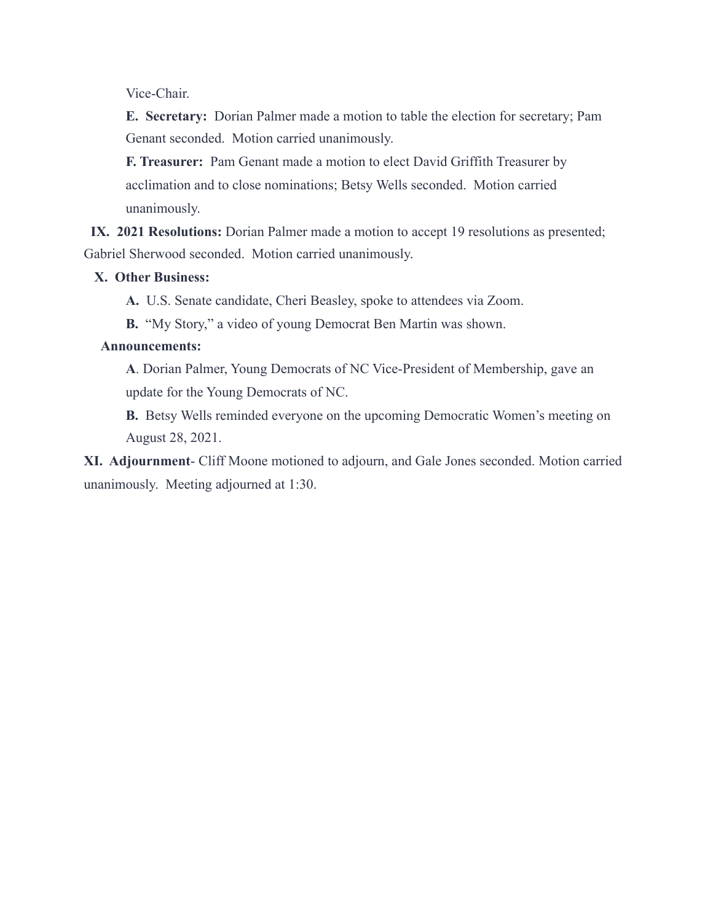Vice-Chair.

**E. Secretary:** Dorian Palmer made a motion to table the election for secretary; Pam Genant seconded. Motion carried unanimously.

**F. Treasurer:** Pam Genant made a motion to elect David Griffith Treasurer by acclimation and to close nominations; Betsy Wells seconded. Motion carried unanimously.

**IX. 2021 Resolutions:** Dorian Palmer made a motion to accept 19 resolutions as presented; Gabriel Sherwood seconded. Motion carried unanimously.

### **X. Other Business:**

**A.** U.S. Senate candidate, Cheri Beasley, spoke to attendees via Zoom.

**B.** "My Story," a video of young Democrat Ben Martin was shown.

#### **Announcements:**

**A**. Dorian Palmer, Young Democrats of NC Vice-President of Membership, gave an update for the Young Democrats of NC.

**B.** Betsy Wells reminded everyone on the upcoming Democratic Women's meeting on August 28, 2021.

**XI. Adjournment**- Cliff Moone motioned to adjourn, and Gale Jones seconded. Motion carried unanimously. Meeting adjourned at 1:30.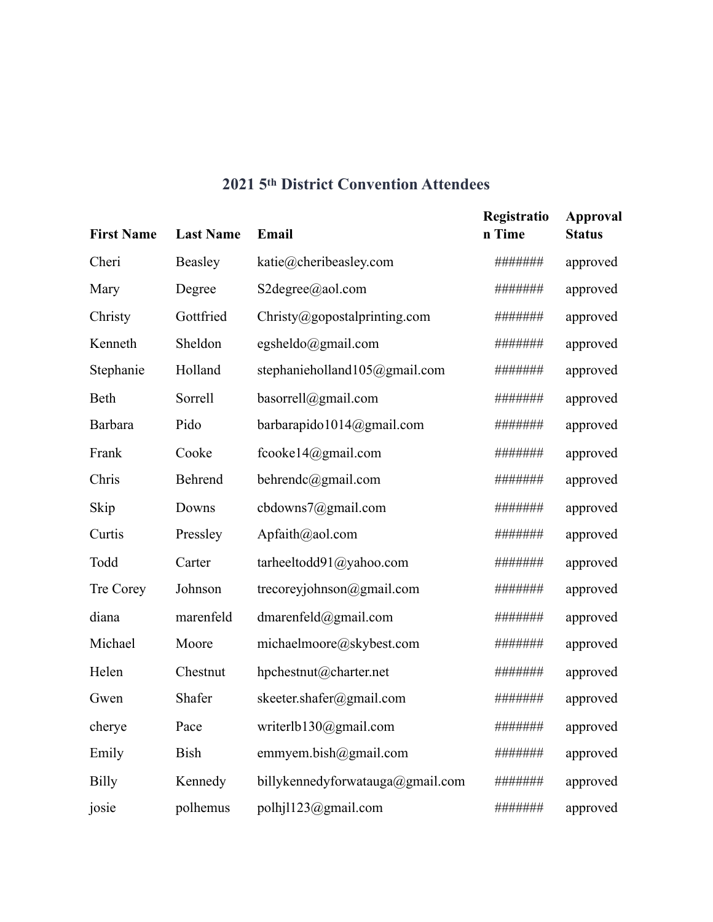# **2021 5th District Convention Attendees**

| <b>First Name</b> | <b>Last Name</b> | Email                            | Registratio<br>n Time | <b>Approval</b><br><b>Status</b> |
|-------------------|------------------|----------------------------------|-----------------------|----------------------------------|
| Cheri             | Beasley          | katie@cheribeasley.com           | #######               | approved                         |
| Mary              | Degree           | S2degree@aol.com                 | #######               | approved                         |
| Christy           | Gottfried        | Christy@gopostalprinting.com     | #######               | approved                         |
| Kenneth           | Sheldon          | egsheldo@gmail.com               | #######               | approved                         |
| Stephanie         | Holland          | stephanieholland105@gmail.com    | #######               | approved                         |
| Beth              | Sorrell          | basorrell@gmail.com              | #######               | approved                         |
| <b>Barbara</b>    | Pido             | barbarapido1014@gmail.com        | #######               | approved                         |
| Frank             | Cooke            | fcooke14@gmail.com               | ########              | approved                         |
| Chris             | Behrend          | behrendc@gmail.com               | #######               | approved                         |
| Skip              | Downs            | cbdowns7@gmail.com               | #######               | approved                         |
| Curtis            | Pressley         | Apfaith@aol.com                  | #######               | approved                         |
| Todd              | Carter           | tarheeltodd91@yahoo.com          | #######               | approved                         |
| Tre Corey         | Johnson          | trecoreyjohnson@gmail.com        | #######               | approved                         |
| diana             | marenfeld        | dmarenfeld@gmail.com             | #######               | approved                         |
| Michael           | Moore            | michaelmoore@skybest.com         | #######               | approved                         |
| Helen             | Chestnut         | hpchestnut@charter.net           | #######               | approved                         |
| Gwen              | Shafer           | skeeter.shafer@gmail.com         | #######               | approved                         |
| cherye            | Pace             | writerlb130@gmail.com            | #######               | approved                         |
| Emily             | <b>Bish</b>      | emmyem.bish@gmail.com            | #######               | approved                         |
| <b>Billy</b>      | Kennedy          | billykennedyforwatauga@gmail.com | #######               | approved                         |
| josie             | polhemus         | polhj1123@gmail.com              | #######               | approved                         |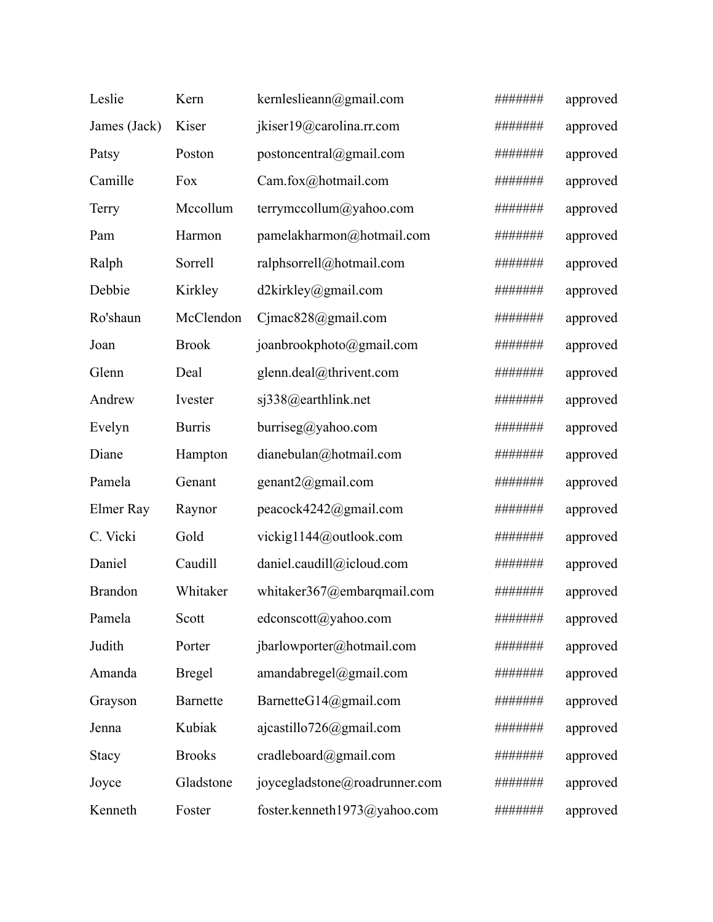| Leslie         | Kern            | kernleslieann@gmail.com       | ####### | approved |
|----------------|-----------------|-------------------------------|---------|----------|
| James (Jack)   | Kiser           | jkiser19@carolina.rr.com      | ####### | approved |
| Patsy          | Poston          | postoncentral@gmail.com       | ####### | approved |
| Camille        | Fox             | Cam.fox@hotmail.com           | ####### | approved |
| Terry          | Mccollum        | terrymccollum@yahoo.com       | ####### | approved |
| Pam            | Harmon          | pamelakharmon@hotmail.com     | ####### | approved |
| Ralph          | Sorrell         | ralphsorrell@hotmail.com      | ####### | approved |
| Debbie         | Kirkley         | d2kirkley@gmail.com           | ####### | approved |
| Ro'shaun       | McClendon       | Cjmac828@gmail.com            | ####### | approved |
| Joan           | <b>Brook</b>    | joanbrookphoto@gmail.com      | ####### | approved |
| Glenn          | Deal            | glenn.deal@thrivent.com       | ####### | approved |
| Andrew         | Ivester         | sj338@earthlink.net           | ####### | approved |
| Evelyn         | <b>Burris</b>   | burrise@yahoo.com             | ####### | approved |
| Diane          | Hampton         | dianebulan@hotmail.com        | ####### | approved |
| Pamela         | Genant          | genant2@gmail.com             | ####### | approved |
| Elmer Ray      | Raynor          | peacock4242@gmail.com         | ####### | approved |
| C. Vicki       | Gold            | vickig1144@outlook.com        | ####### | approved |
| Daniel         | Caudill         | daniel.caudill@icloud.com     | ####### | approved |
| <b>Brandon</b> | Whitaker        | whitaker367@embarqmail.com    | ####### | approved |
| Pamela         | Scott           | edconscott@yahoo.com          | ####### | approved |
| Judith         | Porter          | jbarlowporter@hotmail.com     | ####### | approved |
| Amanda         | <b>Bregel</b>   | amandabregel@gmail.com        | ####### | approved |
| Grayson        | <b>Barnette</b> | BarnetteG14@gmail.com         | ####### | approved |
| Jenna          | Kubiak          | ajcastillo726@gmail.com       | ####### | approved |
| <b>Stacy</b>   | <b>Brooks</b>   | cradleboard@gmail.com         | ####### | approved |
| Joyce          | Gladstone       | joycegladstone@roadrunner.com | ####### | approved |
| Kenneth        | Foster          | foster.kenneth1973@yahoo.com  | ####### | approved |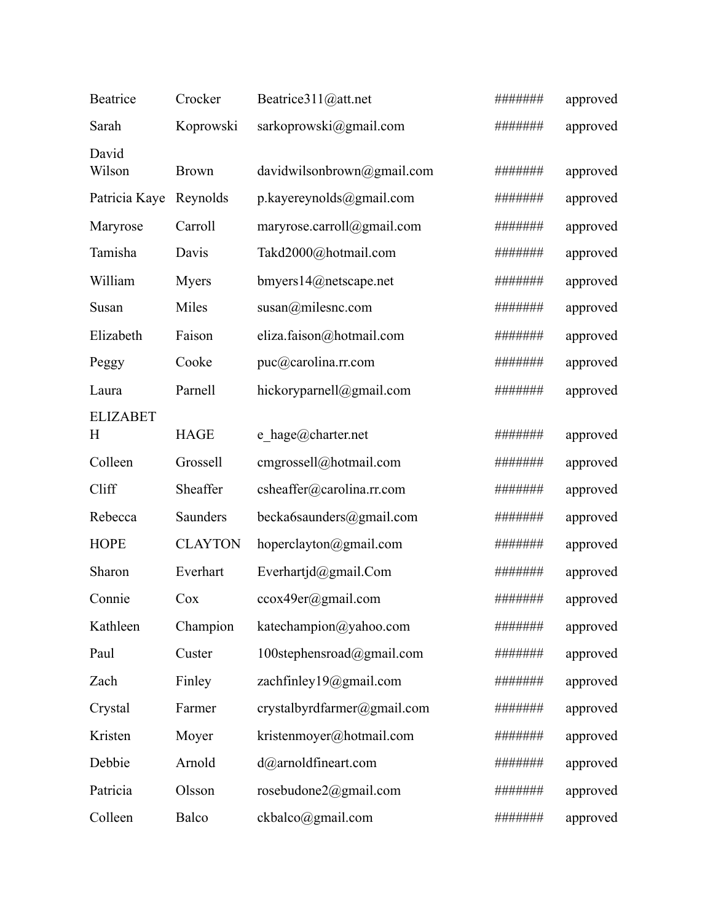| Beatrice             | Crocker        | Beatrice311@att.net         |         | approved |
|----------------------|----------------|-----------------------------|---------|----------|
| Sarah                | Koprowski      | sarkoprowski@gmail.com      |         | approved |
| David<br>Wilson      | <b>Brown</b>   | davidwilsonbrown@gmail.com  | ####### | approved |
| Patricia Kaye        | Reynolds       | p.kayereynolds@gmail.com    | ####### | approved |
| Maryrose             | Carroll        | maryrose.carroll@gmail.com  | ####### | approved |
| Tamisha              | Davis          | Takd2000@hotmail.com        | ####### | approved |
| William              | <b>Myers</b>   | bmyers14@netscape.net       | ####### | approved |
| Susan                | Miles          | $susan(\omega m$ ilesnc.com | ####### | approved |
| Elizabeth            | Faison         | eliza.faison@hotmail.com    | ####### | approved |
| Peggy                | Cooke          | puc@carolina.rr.com         | ####### | approved |
| Laura                | Parnell        | hickoryparnell@gmail.com    | ####### | approved |
| <b>ELIZABET</b><br>H | <b>HAGE</b>    | e hage@charter.net          |         | approved |
| Colleen              | Grossell       | cmgrossell@hotmail.com      |         | approved |
| Cliff                | Sheaffer       | csheaffer@carolina.rr.com   | ####### | approved |
| Rebecca              | Saunders       | becka6saunders@gmail.com    | ####### | approved |
| <b>HOPE</b>          | <b>CLAYTON</b> | hoperclayton@gmail.com      | ####### | approved |
| Sharon               | Everhart       | Everhartjd@gmail.Com        | ####### | approved |
| Connie               | Cox            | ccox49er@gmail.com          | ####### | approved |
| Kathleen             | Champion       | katechampion@yahoo.com      | ####### | approved |
| Paul                 | Custer         | 100stephensroad@gmail.com   | ####### | approved |
| Zach                 | Finley         | zachfinley19@gmail.com      | ####### | approved |
| Crystal              | Farmer         | crystalbyrdfarmer@gmail.com | ####### | approved |
| Kristen              | Moyer          | kristenmoyer@hotmail.com    | ####### | approved |
| Debbie               | Arnold         | $d$ @arnoldfineart.com      |         | approved |
| Patricia             | Olsson         | rosebudone2@gmail.com       |         | approved |
| Colleen              | Balco          | ckbalco@gmail.com           |         | approved |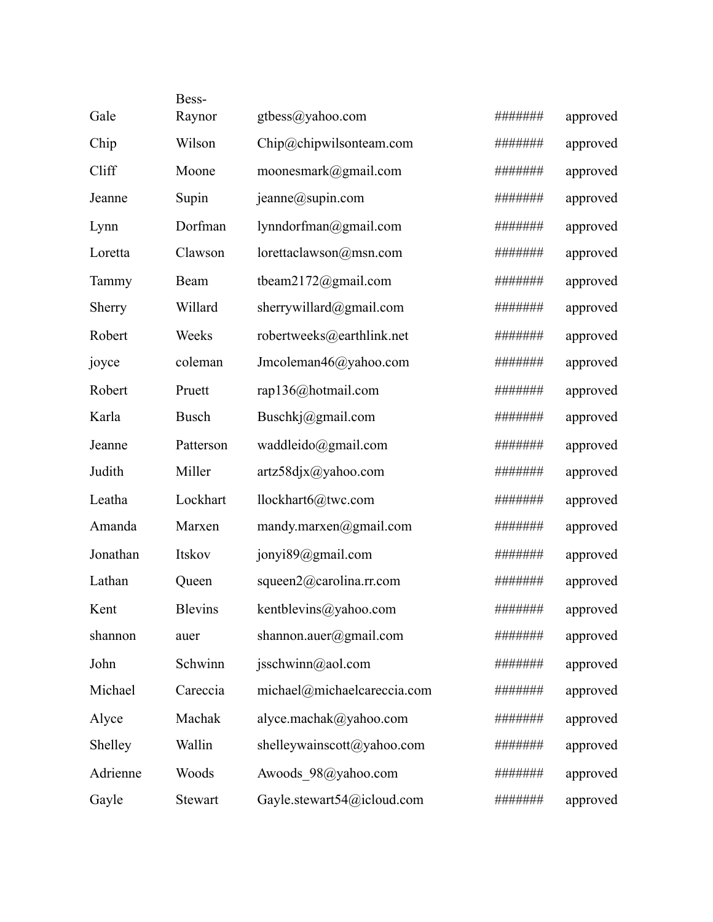|          | Bess-          |                             |         |          |
|----------|----------------|-----------------------------|---------|----------|
| Gale     | Raynor         | gtbess@yahoo.com            | ####### | approved |
| Chip     | Wilson         | Chip@chipwilsonteam.com     | ####### | approved |
| Cliff    | Moone          | moonesmark@gmail.com        | ####### | approved |
| Jeanne   | Supin          | jeanne@supin.com            | ####### | approved |
| Lynn     | Dorfman        | lynndorfman@gmail.com       | ####### | approved |
| Loretta  | Clawson        | lorettaclawson@msn.com      | ####### | approved |
| Tammy    | Beam           | tbeam2172@gmail.com         | ####### | approved |
| Sherry   | Willard        | sherrywillard@gmail.com     | ####### | approved |
| Robert   | Weeks          | robertweeks@earthlink.net   | ####### | approved |
| joyce    | coleman        | Jmcoleman46@yahoo.com       | ####### | approved |
| Robert   | Pruett         | rap136@hotmail.com          | ####### | approved |
| Karla    | <b>Busch</b>   | Buschkj@gmail.com           | ####### | approved |
| Jeanne   | Patterson      | waddleido@gmail.com         | ####### | approved |
| Judith   | Miller         | artz58djx@yahoo.com         | ####### | approved |
| Leatha   | Lockhart       | llockhart6@twc.com          | ####### | approved |
| Amanda   | Marxen         | mandy.marxen@gmail.com      | ####### | approved |
| Jonathan | Itskov         | jonyi89@gmail.com           | ####### | approved |
| Lathan   | Queen          | squeen2@carolina.rr.com     | ####### | approved |
| Kent     | <b>Blevins</b> | kentblevins@yahoo.com       | ####### | approved |
| shannon  | auer           | shannon.auer@gmail.com      | ####### | approved |
| John     | Schwinn        | jsschwinn@aol.com           | ####### | approved |
| Michael  | Careccia       | michael@michaelcareccia.com | ####### | approved |
| Alyce    | Machak         | alyce.machak@yahoo.com      | ####### | approved |
| Shelley  | Wallin         | shelleywainscott@yahoo.com  | ####### | approved |
| Adrienne | Woods          | Awoods 98@yahoo.com         | ####### | approved |
| Gayle    | Stewart        | Gayle.stewart54@icloud.com  | ####### | approved |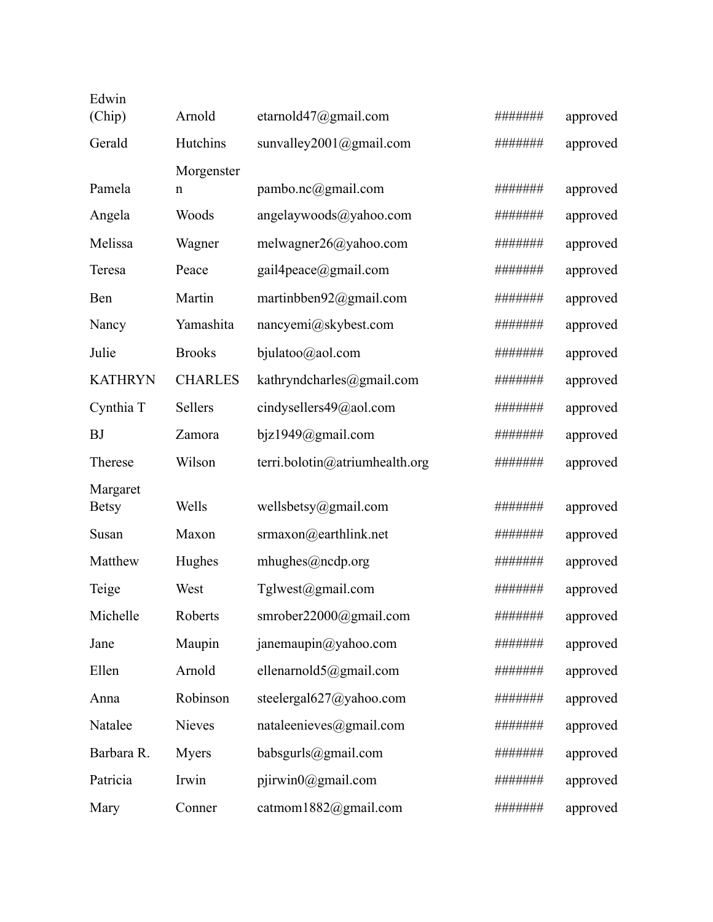| Edwin<br>(Chip) | Arnold         | etarnold $47$ @gmail.com       | ####### | approved |
|-----------------|----------------|--------------------------------|---------|----------|
| Gerald          | Hutchins       | sunvalley2001@gmail.com        | ####### | approved |
|                 | Morgenster     |                                |         |          |
| Pamela          | n              | pambo.nc@gmail.com             | ####### | approved |
| Angela          | Woods          | angelaywoods@yahoo.com         | ####### | approved |
| Melissa         | Wagner         | melwagner26@yahoo.com          | ####### | approved |
| Teresa          | Peace          | gail4peace@gmail.com           | ####### | approved |
| Ben             | Martin         | martinbben92@gmail.com         | ####### | approved |
| Nancy           | Yamashita      | $n\text{ancyemi@skybest.com}$  | ####### | approved |
| Julie           | <b>Brooks</b>  | bjulatoo@aol.com               | ####### | approved |
| <b>KATHRYN</b>  | <b>CHARLES</b> | kathryndcharles@gmail.com      | ####### | approved |
| Cynthia T       | Sellers        | cindysellers49@aol.com         | ####### | approved |
| <b>BJ</b>       | Zamora         | $b$ jz1949@gmail.com           | ####### | approved |
| Therese         | Wilson         | terri.bolotin@atriumhealth.org | ####### | approved |
| Margaret        |                |                                |         |          |
| <b>Betsy</b>    | Wells          | wellsbetsy@gmail.com           | ####### | approved |
| Susan           | Maxon          | srmaxon@earthlink.net          | ####### | approved |
| Matthew         | Hughes         | mhughes@ncdp.org               | ####### | approved |
| Teige           | West           | Tglwest@gmail.com              |         | approved |
| Michelle        | Roberts        | smrober22000@gmail.com         | ####### | approved |
| Jane            | Maupin         | janemaupin@yahoo.com           | ####### | approved |
| Ellen           | Arnold         | ellenarnold5@gmail.com         | ####### | approved |
| Anna            | Robinson       | steelergal627@yahoo.com        | ####### | approved |
| Natalee         | <b>Nieves</b>  | nataleenieves@gmail.com        | ####### | approved |
| Barbara R.      | <b>Myers</b>   | babsgurls@gmail.com            | ####### | approved |
| Patricia        | Irwin          | $piivwin0$ @gmail.com          | ####### | approved |
| Mary            | Conner         | catmom1882@gmail.com           | ####### | approved |